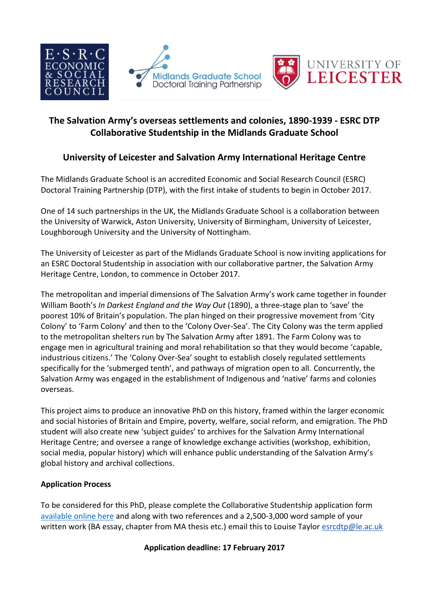



## **The Salvation Army's overseas settlements and colonies, 1890-1939 - ESRC DTP Collaborative Studentship in the Midlands Graduate School**

# **University of Leicester and Salvation Army International Heritage Centre**

The Midlands Graduate School is an accredited Economic and Social Research Council (ESRC) Doctoral Training Partnership (DTP), with the first intake of students to begin in October 2017.

One of 14 such partnerships in the UK, the Midlands Graduate School is a collaboration between the University of Warwick, Aston University, University of Birmingham, University of Leicester, Loughborough University and the University of Nottingham.

The University of Leicester as part of the Midlands Graduate School is now inviting applications for an ESRC Doctoral Studentship in association with our collaborative partner, the Salvation Army Heritage Centre, London, to commence in October 2017.

The metropolitan and imperial dimensions of The Salvation Army's work came together in founder William Booth's *In Darkest England and the Way Out* (1890), a three-stage plan to 'save' the poorest 10% of Britain's population. The plan hinged on their progressive movement from 'City Colony' to 'Farm Colony' and then to the 'Colony Over-Sea'. The City Colony was the term applied to the metropolitan shelters run by The Salvation Army after 1891. The Farm Colony was to engage men in agricultural training and moral rehabilitation so that they would become 'capable, industrious citizens.' The 'Colony Over-Sea' sought to establish closely regulated settlements specifically for the 'submerged tenth', and pathways of migration open to all. Concurrently, the Salvation Army was engaged in the establishment of Indigenous and 'native' farms and colonies overseas.

This project aims to produce an innovative PhD on this history, framed within the larger economic and social histories of Britain and Empire, poverty, welfare, social reform, and emigration. The PhD student will also create new 'subject guides' to archives for the Salvation Army International Heritage Centre; and oversee a range of knowledge exchange activities (workshop, exhibition, social media, popular history) which will enhance public understanding of the Salvation Army's global history and archival collections.

### **Application Process**

To be considered for this PhD, please complete the Collaborative Studentship application form [available online here](http://www2.warwick.ac.uk/fac/cross_fac/mgsdtp/collaborativeandjoint/#collaborative) and along with two references and a 2,500-3,000 word sample of your written work (BA essay, chapter from MA thesis etc.) email this to Louise Taylor [esrcdtp@le.ac.uk](mailto:esrcdtp@le.ac.uk)

### **Application deadline: 17 February 2017**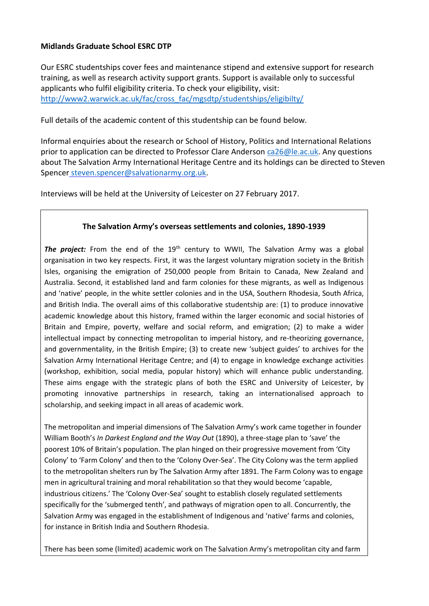### **Midlands Graduate School ESRC DTP**

Our ESRC studentships cover fees and maintenance stipend and extensive support for research training, as well as research activity support grants. Support is available only to successful applicants who fulfil eligibility criteria. To check your eligibility, visit: [http://www2.warwick.ac.uk/fac/cross\\_fac/mgsdtp/studentships/eligibilty/](http://www2.warwick.ac.uk/fac/cross_fac/mgsdtp/studentships/eligibilty/)

Full details of the academic content of this studentship can be found below.

Informal enquiries about the research or School of History, Politics and International Relations prior to application can be directed to Professor Clare Anderson [ca26@le.ac.uk.](mailto:ca26@le.ac.uk) Any questions about The Salvation Army International Heritage Centre and its holdings can be directed to Steven Spencer [steven.spencer@salvationarmy.org.uk.](mailto:steven.spencer@salvationarmy.org.uk)

Interviews will be held at the University of Leicester on 27 February 2017.

#### **The Salvation Army's overseas settlements and colonies, 1890-1939**

**The project:** From the end of the 19<sup>th</sup> century to WWII. The Salvation Army was a global organisation in two key respects. First, it was the largest voluntary migration society in the British Isles, organising the emigration of 250,000 people from Britain to Canada, New Zealand and Australia. Second, it established land and farm colonies for these migrants, as well as Indigenous and 'native' people, in the white settler colonies and in the USA, Southern Rhodesia, South Africa, and British India. The overall aims of this collaborative studentship are: (1) to produce innovative academic knowledge about this history, framed within the larger economic and social histories of Britain and Empire, poverty, welfare and social reform, and emigration; (2) to make a wider intellectual impact by connecting metropolitan to imperial history, and re-theorizing governance, and governmentality, in the British Empire; (3) to create new 'subject guides' to archives for the Salvation Army International Heritage Centre; and (4) to engage in knowledge exchange activities (workshop, exhibition, social media, popular history) which will enhance public understanding. These aims engage with the strategic plans of both the ESRC and University of Leicester, by promoting innovative partnerships in research, taking an internationalised approach to scholarship, and seeking impact in all areas of academic work.

The metropolitan and imperial dimensions of The Salvation Army's work came together in founder William Booth's *In Darkest England and the Way Out* (1890), a three-stage plan to 'save' the poorest 10% of Britain's population. The plan hinged on their progressive movement from 'City Colony' to 'Farm Colony' and then to the 'Colony Over-Sea'. The City Colony was the term applied to the metropolitan shelters run by The Salvation Army after 1891. The Farm Colony was to engage men in agricultural training and moral rehabilitation so that they would become 'capable, industrious citizens.' The 'Colony Over-Sea' sought to establish closely regulated settlements specifically for the 'submerged tenth', and pathways of migration open to all. Concurrently, the Salvation Army was engaged in the establishment of Indigenous and 'native' farms and colonies, for instance in British India and Southern Rhodesia.

There has been some (limited) academic work on The Salvation Army's metropolitan city and farm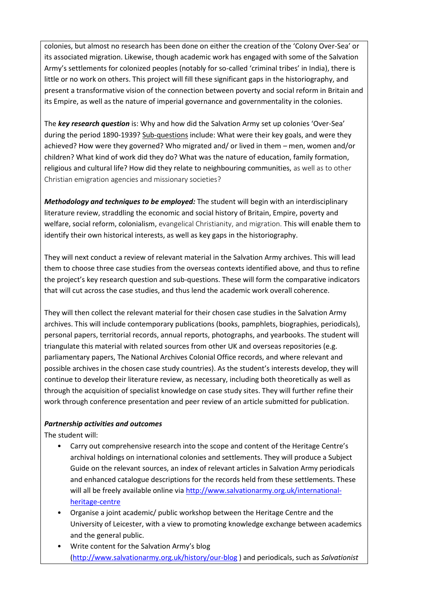colonies, but almost no research has been done on either the creation of the 'Colony Over-Sea' or its associated migration. Likewise, though academic work has engaged with some of the Salvation Army's settlements for colonized peoples (notably for so-called 'criminal tribes' in India), there is little or no work on others. This project will fill these significant gaps in the historiography, and present a transformative vision of the connection between poverty and social reform in Britain and its Empire, as well as the nature of imperial governance and governmentality in the colonies.

The *key research question* is: Why and how did the Salvation Army set up colonies 'Over-Sea' during the period 1890-1939? Sub-questions include: What were their key goals, and were they achieved? How were they governed? Who migrated and/ or lived in them – men, women and/or children? What kind of work did they do? What was the nature of education, family formation, religious and cultural life? How did they relate to neighbouring communities, as well as to other Christian emigration agencies and missionary societies?

*Methodology and techniques to be employed:* The student will begin with an interdisciplinary literature review, straddling the economic and social history of Britain, Empire, poverty and welfare, social reform, colonialism, evangelical Christianity, and migration. This will enable them to identify their own historical interests, as well as key gaps in the historiography.

They will next conduct a review of relevant material in the Salvation Army archives. This will lead them to choose three case studies from the overseas contexts identified above, and thus to refine the project's key research question and sub-questions. These will form the comparative indicators that will cut across the case studies, and thus lend the academic work overall coherence.

They will then collect the relevant material for their chosen case studies in the Salvation Army archives. This will include contemporary publications (books, pamphlets, biographies, periodicals), personal papers, territorial records, annual reports, photographs, and yearbooks. The student will triangulate this material with related sources from other UK and overseas repositories (e.g. parliamentary papers, The National Archives Colonial Office records, and where relevant and possible archives in the chosen case study countries). As the student's interests develop, they will continue to develop their literature review, as necessary, including both theoretically as well as through the acquisition of specialist knowledge on case study sites. They will further refine their work through conference presentation and peer review of an article submitted for publication.

#### *Partnership activities and outcomes*

The student will:

- Carry out comprehensive research into the scope and content of the Heritage Centre's archival holdings on international colonies and settlements. They will produce a Subject Guide on the relevant sources, an index of relevant articles in Salvation Army periodicals and enhanced catalogue descriptions for the records held from these settlements. These will all be freely available online via [http://www.salvationarmy.org.uk/international](http://www.salvationarmy.org.uk/international-heritage-centre)[heritage-centre](http://www.salvationarmy.org.uk/international-heritage-centre)
- Organise a joint academic/ public workshop between the Heritage Centre and the University of Leicester, with a view to promoting knowledge exchange between academics and the general public.
- Write content for the Salvation Army's blog [\(http://www.salvationarmy.org.uk/history/our-blog](http://www.salvationarmy.org.uk/history/our-blog) ) and periodicals, such as *Salvationist*